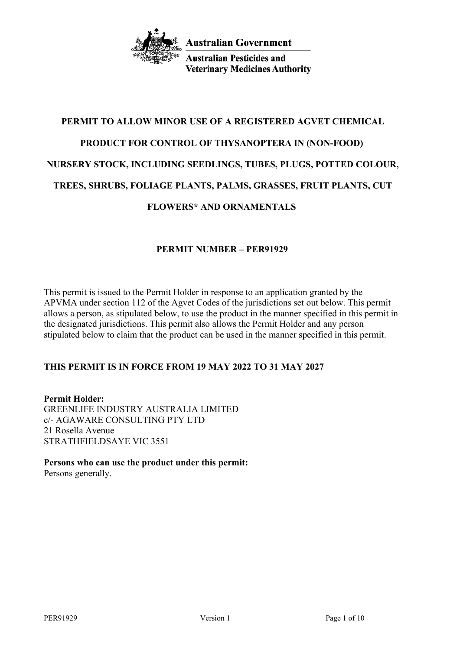

**Australian Pesticides and Veterinary Medicines Authority** 

# **PERMIT TO ALLOW MINOR USE OF A REGISTERED AGVET CHEMICAL PRODUCT FOR CONTROL OF THYSANOPTERA IN (NON-FOOD) NURSERY STOCK, INCLUDING SEEDLINGS, TUBES, PLUGS, POTTED COLOUR, TREES, SHRUBS, FOLIAGE PLANTS, PALMS, GRASSES, FRUIT PLANTS, CUT FLOWERS\* AND ORNAMENTALS**

## **PERMIT NUMBER – PER91929**

This permit is issued to the Permit Holder in response to an application granted by the APVMA under section 112 of the Agvet Codes of the jurisdictions set out below. This permit allows a person, as stipulated below, to use the product in the manner specified in this permit in the designated jurisdictions. This permit also allows the Permit Holder and any person stipulated below to claim that the product can be used in the manner specified in this permit.

## **THIS PERMIT IS IN FORCE FROM 19 MAY 2022 TO 31 MAY 2027**

**Permit Holder:** GREENLIFE INDUSTRY AUSTRALIA LIMITED c/- AGAWARE CONSULTING PTY LTD 21 Rosella Avenue STRATHFIELDSAYE VIC 3551

**Persons who can use the product under this permit:** Persons generally.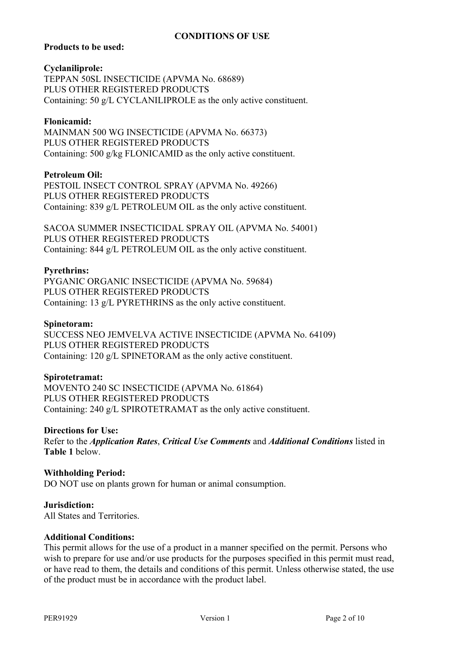## **CONDITIONS OF USE**

#### **Products to be used:**

#### **Cyclaniliprole:**

TEPPAN 50SL INSECTICIDE (APVMA No. 68689) PLUS OTHER REGISTERED PRODUCTS Containing: 50 g/L CYCLANILIPROLE as the only active constituent.

#### **Flonicamid:**

MAINMAN 500 WG INSECTICIDE (APVMA No. 66373) PLUS OTHER REGISTERED PRODUCTS Containing: 500 g/kg FLONICAMID as the only active constituent.

#### **Petroleum Oil:**

PESTOIL INSECT CONTROL SPRAY (APVMA No. 49266) PLUS OTHER REGISTERED PRODUCTS Containing: 839 g/L PETROLEUM OIL as the only active constituent.

SACOA SUMMER INSECTICIDAL SPRAY OIL (APVMA No. 54001) PLUS OTHER REGISTERED PRODUCTS Containing: 844 g/L PETROLEUM OIL as the only active constituent.

#### **Pyrethrins:**

PYGANIC ORGANIC INSECTICIDE (APVMA No. 59684) PLUS OTHER REGISTERED PRODUCTS Containing: 13 g/L PYRETHRINS as the only active constituent.

#### **Spinetoram:**

SUCCESS NEO JEMVELVA ACTIVE INSECTICIDE (APVMA No. 64109) PLUS OTHER REGISTERED PRODUCTS Containing: 120 g/L SPINETORAM as the only active constituent.

#### **Spirotetramat:**

MOVENTO 240 SC INSECTICIDE (APVMA No. 61864) PLUS OTHER REGISTERED PRODUCTS Containing: 240 g/L SPIROTETRAMAT as the only active constituent.

#### **Directions for Use:**

Refer to the *Application Rates*, *Critical Use Comments* and *Additional Conditions* listed in **Table 1** below.

#### **Withholding Period:**

DO NOT use on plants grown for human or animal consumption.

**Jurisdiction:** All States and Territories.

#### **Additional Conditions:**

This permit allows for the use of a product in a manner specified on the permit. Persons who wish to prepare for use and/or use products for the purposes specified in this permit must read, or have read to them, the details and conditions of this permit. Unless otherwise stated, the use of the product must be in accordance with the product label.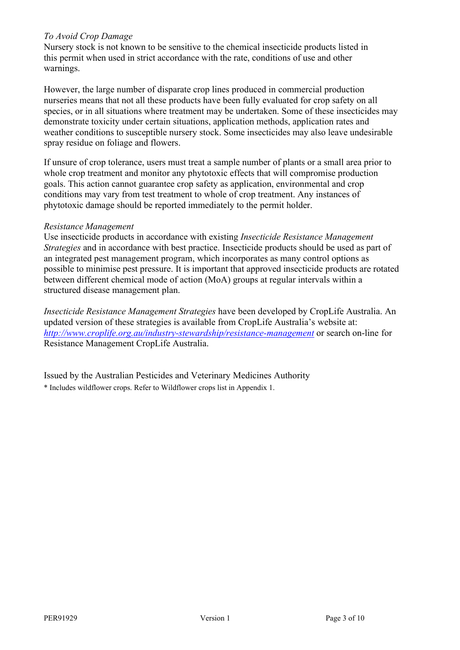#### *To Avoid Crop Damage*

Nursery stock is not known to be sensitive to the chemical insecticide products listed in this permit when used in strict accordance with the rate, conditions of use and other warnings.

However, the large number of disparate crop lines produced in commercial production nurseries means that not all these products have been fully evaluated for crop safety on all species, or in all situations where treatment may be undertaken. Some of these insecticides may demonstrate toxicity under certain situations, application methods, application rates and weather conditions to susceptible nursery stock. Some insecticides may also leave undesirable spray residue on foliage and flowers.

If unsure of crop tolerance, users must treat a sample number of plants or a small area prior to whole crop treatment and monitor any phytotoxic effects that will compromise production goals. This action cannot guarantee crop safety as application, environmental and crop conditions may vary from test treatment to whole of crop treatment. Any instances of phytotoxic damage should be reported immediately to the permit holder.

#### *Resistance Management*

Use insecticide products in accordance with existing *Insecticide Resistance Management Strategies* and in accordance with best practice. Insecticide products should be used as part of an integrated pest management program, which incorporates as many control options as possible to minimise pest pressure. It is important that approved insecticide products are rotated between different chemical mode of action (MoA) groups at regular intervals within a structured disease management plan.

*Insecticide Resistance Management Strategies* have been developed by CropLife Australia. An updated version of these strategies is available from CropLife Australia's website at: *<http://www.croplife.org.au/industry-stewardship/resistance-management>* or search on-line for Resistance Management CropLife Australia.

Issued by the Australian Pesticides and Veterinary Medicines Authority \* Includes wildflower crops. Refer to Wildflower crops list in Appendix 1.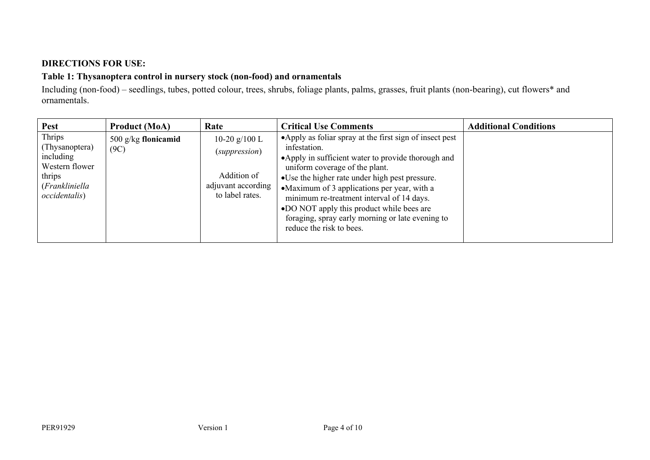## **DIRECTIONS FOR USE:**

## **Table 1: Thysanoptera control in nursery stock (non-food) and ornamentals**

Including (non-food) – seedlings, tubes, potted colour, trees, shrubs, foliage plants, palms, grasses, fruit plants (non-bearing), cut flowers\* and ornamentals.

| <b>Pest</b>                                                                                                  | <b>Product (MoA)</b>          | Rate                                                                                     | <b>Critical Use Comments</b>                                                                                                                                                                                                                                                                                                                                                                                                                  | <b>Additional Conditions</b> |
|--------------------------------------------------------------------------------------------------------------|-------------------------------|------------------------------------------------------------------------------------------|-----------------------------------------------------------------------------------------------------------------------------------------------------------------------------------------------------------------------------------------------------------------------------------------------------------------------------------------------------------------------------------------------------------------------------------------------|------------------------------|
| Thrips<br>(Thysanoptera)<br>including<br>Western flower<br>thrips<br>(Frankliniella<br><i>occidentalis</i> ) | 500 $g/kg$ flonicamid<br>(9C) | 10-20 $g/100$ L<br>(suppression)<br>Addition of<br>adjuvant according<br>to label rates. | • Apply as foliar spray at the first sign of insect pest<br>infestation.<br>• Apply in sufficient water to provide thorough and<br>uniform coverage of the plant.<br>• Use the higher rate under high pest pressure.<br>•Maximum of 3 applications per year, with a<br>minimum re-treatment interval of 14 days.<br>•DO NOT apply this product while bees are<br>foraging, spray early morning or late evening to<br>reduce the risk to bees. |                              |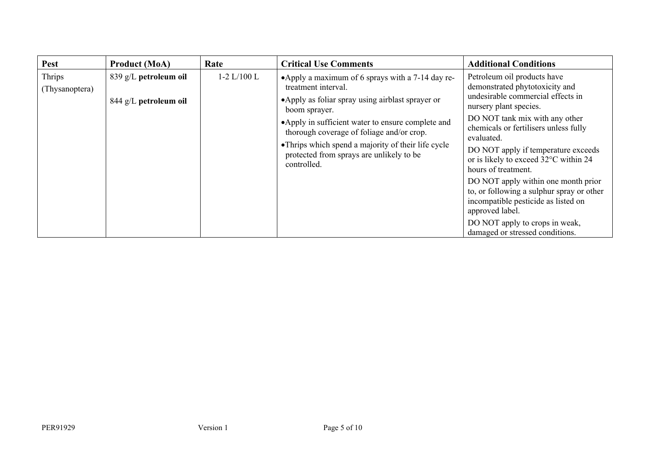| <b>Pest</b>              | <b>Product (MoA)</b>                           | Rate          | <b>Critical Use Comments</b>                                                                                                                                                                                                                                                                                                                                      | <b>Additional Conditions</b>                                                                                                                                                                                                                                                                                                                                                                                                                                                                                 |
|--------------------------|------------------------------------------------|---------------|-------------------------------------------------------------------------------------------------------------------------------------------------------------------------------------------------------------------------------------------------------------------------------------------------------------------------------------------------------------------|--------------------------------------------------------------------------------------------------------------------------------------------------------------------------------------------------------------------------------------------------------------------------------------------------------------------------------------------------------------------------------------------------------------------------------------------------------------------------------------------------------------|
| Thrips<br>(Thysanoptera) | 839 g/L petroleum oil<br>844 g/L petroleum oil | $1-2 L/100 L$ | •Apply a maximum of 6 sprays with a 7-14 day re-<br>treatment interval.<br>• Apply as foliar spray using airblast sprayer or<br>boom sprayer.<br>•Apply in sufficient water to ensure complete and<br>thorough coverage of foliage and/or crop.<br>• Thrips which spend a majority of their life cycle<br>protected from sprays are unlikely to be<br>controlled. | Petroleum oil products have<br>demonstrated phytotoxicity and<br>undesirable commercial effects in<br>nursery plant species.<br>DO NOT tank mix with any other<br>chemicals or fertilisers unless fully<br>evaluated.<br>DO NOT apply if temperature exceeds<br>or is likely to exceed 32°C within 24<br>hours of treatment.<br>DO NOT apply within one month prior<br>to, or following a sulphur spray or other<br>incompatible pesticide as listed on<br>approved label.<br>DO NOT apply to crops in weak, |
|                          |                                                |               |                                                                                                                                                                                                                                                                                                                                                                   | damaged or stressed conditions.                                                                                                                                                                                                                                                                                                                                                                                                                                                                              |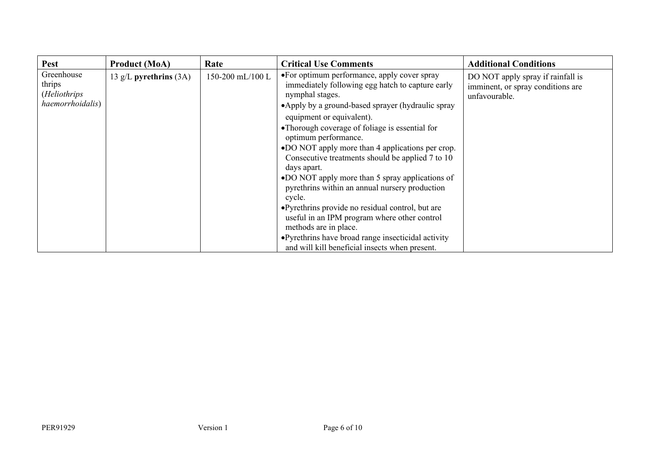| <b>Pest</b>                                              | <b>Product (MoA)</b>     | Rate             | <b>Critical Use Comments</b>                                                                                                                                                                                                                                                                                                                                                                                                                                                                                                                                                                                                                        | <b>Additional Conditions</b>                                                            |
|----------------------------------------------------------|--------------------------|------------------|-----------------------------------------------------------------------------------------------------------------------------------------------------------------------------------------------------------------------------------------------------------------------------------------------------------------------------------------------------------------------------------------------------------------------------------------------------------------------------------------------------------------------------------------------------------------------------------------------------------------------------------------------------|-----------------------------------------------------------------------------------------|
| Greenhouse<br>thrips<br>(Heliothrips<br>haemorrhoidalis) | 13 g/L pyrethrins $(3A)$ | 150-200 mL/100 L | •For optimum performance, apply cover spray<br>immediately following egg hatch to capture early<br>nymphal stages.<br>•Apply by a ground-based sprayer (hydraulic spray<br>equipment or equivalent).<br>• Thorough coverage of foliage is essential for<br>optimum performance.<br>•DO NOT apply more than 4 applications per crop.<br>Consecutive treatments should be applied 7 to 10<br>days apart.<br>•DO NOT apply more than 5 spray applications of<br>pyrethrins within an annual nursery production<br>cycle.<br>• Pyrethrins provide no residual control, but are<br>useful in an IPM program where other control<br>methods are in place. | DO NOT apply spray if rainfall is<br>imminent, or spray conditions are<br>unfavourable. |
|                                                          |                          |                  | • Pyrethrins have broad range insecticidal activity<br>and will kill beneficial insects when present.                                                                                                                                                                                                                                                                                                                                                                                                                                                                                                                                               |                                                                                         |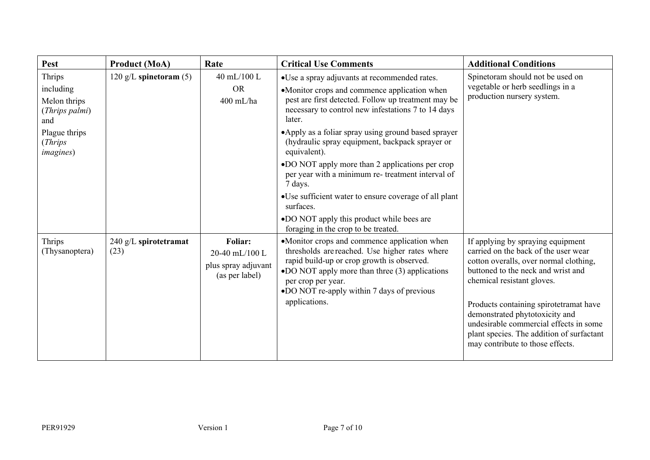| <b>Pest</b>                                                                               | <b>Product (MoA)</b>             | Rate                                                               | <b>Critical Use Comments</b>                                                                                                                                                                                                                                                                                                   | <b>Additional Conditions</b>                                                                                                                                                                                                                                                                                                                                                                   |
|-------------------------------------------------------------------------------------------|----------------------------------|--------------------------------------------------------------------|--------------------------------------------------------------------------------------------------------------------------------------------------------------------------------------------------------------------------------------------------------------------------------------------------------------------------------|------------------------------------------------------------------------------------------------------------------------------------------------------------------------------------------------------------------------------------------------------------------------------------------------------------------------------------------------------------------------------------------------|
| Thrips<br>including<br>Melon thrips<br>(Thrips palmi)<br>and<br>Plague thrips<br>(Thrips) | $120 \text{ g/L}$ spinetoram (5) | 40 mL/100 L<br><b>OR</b><br>$400$ mL/ha                            | •Use a spray adjuvants at recommended rates.<br>•Monitor crops and commence application when<br>pest are first detected. Follow up treatment may be<br>necessary to control new infestations 7 to 14 days<br>later.<br>• Apply as a foliar spray using ground based sprayer<br>(hydraulic spray equipment, backpack sprayer or | Spinetoram should not be used on<br>vegetable or herb seedlings in a<br>production nursery system.                                                                                                                                                                                                                                                                                             |
| <i>imagines</i> )                                                                         |                                  |                                                                    | equivalent).<br>•DO NOT apply more than 2 applications per crop<br>per year with a minimum re- treatment interval of<br>7 days.<br>•Use sufficient water to ensure coverage of all plant<br>surfaces.<br>•DO NOT apply this product while bees are<br>foraging in the crop to be treated.                                      |                                                                                                                                                                                                                                                                                                                                                                                                |
| Thrips<br>(Thysanoptera)                                                                  | 240 g/L spirotetramat<br>(23)    | Foliar:<br>20-40 mL/100 L<br>plus spray adjuvant<br>(as per label) | •Monitor crops and commence application when<br>thresholds are reached. Use higher rates where<br>rapid build-up or crop growth is observed.<br>•DO NOT apply more than three (3) applications<br>per crop per year.<br>•DO NOT re-apply within 7 days of previous<br>applications.                                            | If applying by spraying equipment<br>carried on the back of the user wear<br>cotton overalls, over normal clothing,<br>buttoned to the neck and wrist and<br>chemical resistant gloves.<br>Products containing spirotetramat have<br>demonstrated phytotoxicity and<br>undesirable commercial effects in some<br>plant species. The addition of surfactant<br>may contribute to those effects. |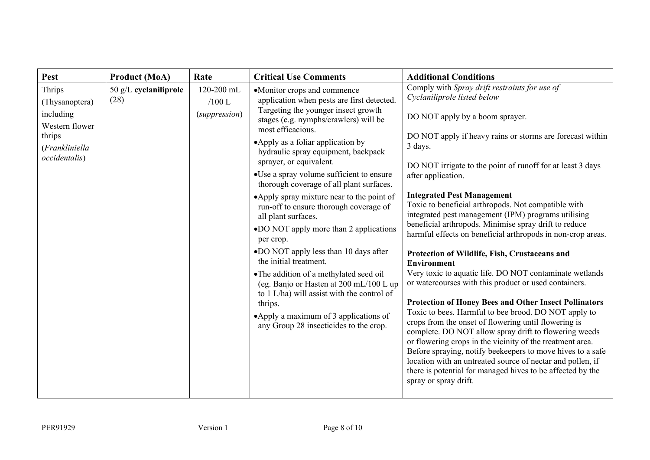| Pest                                                                                                 | <b>Product (MoA)</b>            | Rate                                    | <b>Critical Use Comments</b>                                                                                                                                                                                                                                                                                                                                                                                                                                                                                                                                                                                                                                                                                                                                                                                                                             | <b>Additional Conditions</b>                                                                                                                                                                                                                                                                                                                                                                                                                                                                                                                                                                                                                                                                                                                                                                                                                                                                                                                                                                                                                                                                                                                                                                                                                                               |
|------------------------------------------------------------------------------------------------------|---------------------------------|-----------------------------------------|----------------------------------------------------------------------------------------------------------------------------------------------------------------------------------------------------------------------------------------------------------------------------------------------------------------------------------------------------------------------------------------------------------------------------------------------------------------------------------------------------------------------------------------------------------------------------------------------------------------------------------------------------------------------------------------------------------------------------------------------------------------------------------------------------------------------------------------------------------|----------------------------------------------------------------------------------------------------------------------------------------------------------------------------------------------------------------------------------------------------------------------------------------------------------------------------------------------------------------------------------------------------------------------------------------------------------------------------------------------------------------------------------------------------------------------------------------------------------------------------------------------------------------------------------------------------------------------------------------------------------------------------------------------------------------------------------------------------------------------------------------------------------------------------------------------------------------------------------------------------------------------------------------------------------------------------------------------------------------------------------------------------------------------------------------------------------------------------------------------------------------------------|
| Thrips<br>(Thysanoptera)<br>including<br>Western flower<br>thrips<br>(Frankliniella<br>occidentalis) | $50$ g/L cyclaniliprole<br>(28) | 120-200 mL<br>$/100$ L<br>(suppression) | •Monitor crops and commence<br>application when pests are first detected.<br>Targeting the younger insect growth<br>stages (e.g. nymphs/crawlers) will be<br>most efficacious.<br>• Apply as a foliar application by<br>hydraulic spray equipment, backpack<br>sprayer, or equivalent.<br>•Use a spray volume sufficient to ensure<br>thorough coverage of all plant surfaces.<br>•Apply spray mixture near to the point of<br>run-off to ensure thorough coverage of<br>all plant surfaces.<br>•DO NOT apply more than 2 applications<br>per crop.<br>•DO NOT apply less than 10 days after<br>the initial treatment.<br>• The addition of a methylated seed oil<br>(eg. Banjo or Hasten at 200 mL/100 L up<br>to 1 L/ha) will assist with the control of<br>thrips.<br>•Apply a maximum of 3 applications of<br>any Group 28 insecticides to the crop. | Comply with Spray drift restraints for use of<br>Cyclaniliprole listed below<br>DO NOT apply by a boom sprayer.<br>DO NOT apply if heavy rains or storms are forecast within<br>3 days.<br>DO NOT irrigate to the point of runoff for at least 3 days<br>after application.<br><b>Integrated Pest Management</b><br>Toxic to beneficial arthropods. Not compatible with<br>integrated pest management (IPM) programs utilising<br>beneficial arthropods. Minimise spray drift to reduce<br>harmful effects on beneficial arthropods in non-crop areas.<br>Protection of Wildlife, Fish, Crustaceans and<br><b>Environment</b><br>Very toxic to aquatic life. DO NOT contaminate wetlands<br>or watercourses with this product or used containers.<br><b>Protection of Honey Bees and Other Insect Pollinators</b><br>Toxic to bees. Harmful to bee brood. DO NOT apply to<br>crops from the onset of flowering until flowering is<br>complete. DO NOT allow spray drift to flowering weeds<br>or flowering crops in the vicinity of the treatment area.<br>Before spraying, notify beekeepers to move hives to a safe<br>location with an untreated source of nectar and pollen, if<br>there is potential for managed hives to be affected by the<br>spray or spray drift. |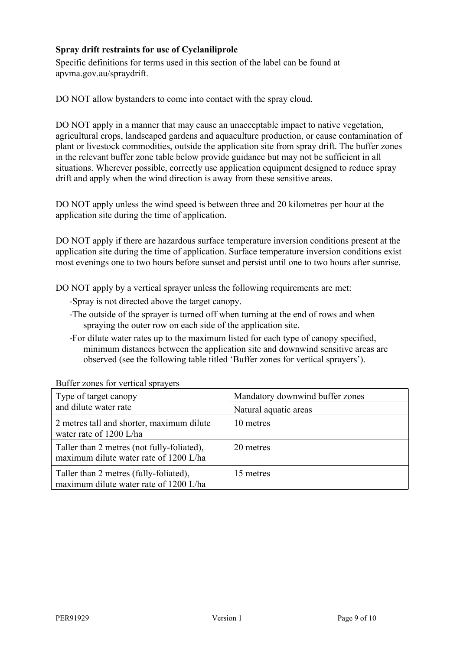## **Spray drift restraints for use of Cyclaniliprole**

Specific definitions for terms used in this section of the label can be found at apvma.gov.au/spraydrift.

DO NOT allow bystanders to come into contact with the spray cloud.

DO NOT apply in a manner that may cause an unacceptable impact to native vegetation, agricultural crops, landscaped gardens and aquaculture production, or cause contamination of plant or livestock commodities, outside the application site from spray drift. The buffer zones in the relevant buffer zone table below provide guidance but may not be sufficient in all situations. Wherever possible, correctly use application equipment designed to reduce spray drift and apply when the wind direction is away from these sensitive areas.

DO NOT apply unless the wind speed is between three and 20 kilometres per hour at the application site during the time of application.

DO NOT apply if there are hazardous surface temperature inversion conditions present at the application site during the time of application. Surface temperature inversion conditions exist most evenings one to two hours before sunset and persist until one to two hours after sunrise.

DO NOT apply by a vertical sprayer unless the following requirements are met:

- -Spray is not directed above the target canopy.
- -The outside of the sprayer is turned off when turning at the end of rows and when spraying the outer row on each side of the application site.
- -For dilute water rates up to the maximum listed for each type of canopy specified, minimum distances between the application site and downwind sensitive areas are observed (see the following table titled 'Buffer zones for vertical sprayers').

| Type of target canopy<br>and dilute water rate                                       | Mandatory downwind buffer zones<br>Natural aquatic areas |
|--------------------------------------------------------------------------------------|----------------------------------------------------------|
| 2 metres tall and shorter, maximum dilute<br>water rate of 1200 L/ha                 | 10 metres                                                |
| Taller than 2 metres (not fully-foliated),<br>maximum dilute water rate of 1200 L/ha | 20 metres                                                |
| Taller than 2 metres (fully-foliated),<br>maximum dilute water rate of 1200 L/ha     | 15 metres                                                |

Buffer zones for vertical sprayers